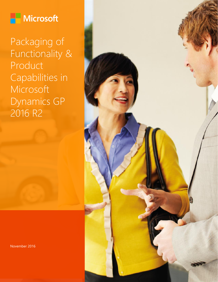

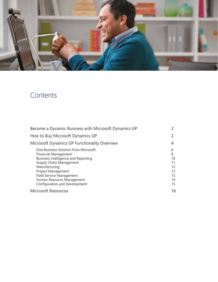

# Contents

| Become a Dynamic Business with Microsoft Dynamics GP                                                                                                                                                                                                                                 |                                                  |
|--------------------------------------------------------------------------------------------------------------------------------------------------------------------------------------------------------------------------------------------------------------------------------------|--------------------------------------------------|
| How to Buy Microsoft Dynamics GP                                                                                                                                                                                                                                                     |                                                  |
| Microsoft Dynamics GP Functionality Overview                                                                                                                                                                                                                                         | 4                                                |
| One Business Solution from Microsoft<br><b>Financial Management</b><br><b>Business Intelligence and Reporting</b><br>Supply Chain Management<br>Manufacturing<br>Project Management<br><b>Field Service Management</b><br>Human Resource Management<br>Configuration and Development | 6<br>8<br>10<br>11<br>13<br>13<br>13<br>14<br>15 |
| <b>Microsoft Resources</b>                                                                                                                                                                                                                                                           | 16                                               |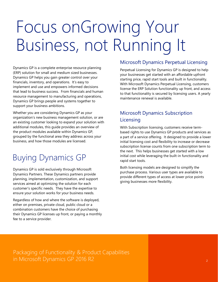# Focus onGrowing Your Business, not Running It

Dynamics GP is a complete enterprise resource planning (ERP) solution for small and medium sized businesses. Dynamics GP helps you gain greater control over your financials, inventory, and operations. It's easy to implement and use and empowers informed decisions that lead to business success. From financials and human resource management to manufacturing and operations, Dynamics GP brings people and systems together to support your business ambitions.

Whether you are considering Dynamics GP as your organization's new business management solution, or are an existing customer looking to expand your solution with additional modules, this guide provides an overview of the product modules available within Dynamics GP, grouped by the functional area they address across your business, and how those modules are licensed.

# Buying Dynamics GP

Dynamics GP is sold exclusively through Microsoft Dynamics Partners. These Dynamics partners provide planning, implementation, customization, and support services aimed at optimizing the solution for each customer's specific needs. They have the expertise to ensure your solution works for your business needs.

Regardless of how and where the software is deployed, either on premises, private cloud, public cloud or a combination customers have the choice of purchasing their Dynamics GP licenses up front, or paying a monthly fee to a service provider.

### Microsoft Dynamics Perpetual Licensing

Perpetual Licensing for Dynamics GP is designed to help your businesses get started with an affordable upfront starting price, rapid start tools and built in functionality. With Microsoft Dynamics Perpetual Licensing, customers license the ERP Solution functionality up front, and access to that functionality is secured by licensing users. A yearly maintenance renewal is available.

### Microsoft Dynamics Subscription **Licensing**

With Subscription licensing, customers receive termbased rights to use Dynamics GP products and services as a part of a service offering. It designed to provide a lower initial licensing cost and flexibility to increase or decrease subscription license counts from one subscription term to the next. This helps businesses get started with a low initial cost while leveraging the built-in functionality and rapid start tools.

Both licensing models are designed to simplify the purchase process. Various user types are available to provide different types of access at lower price points giving businesses more flexibility.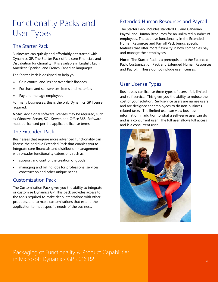# Functionality Packs and User Types

### The Starter Pack

Businesses can quickly and affordably get started with Dynamics GP. The Starter Pack offers core Financials and Distribution functionality. It is available in English, Latin American Spanish, and French Canadian languages.

The Starter Pack is designed to help you:

- Gain control and insight over their finances
- Purchase and sell services, items and materials
- Pay and manage employees

For many businesses, this is the only Dynamics GP license required.

**Note:** Additional software licenses may be required, such as Windows Server, SQL Server, and Office 365. Software must be licensed per the applicable license terms.

### The Extended Pack

Businesses that require more advanced functionality can license the additive Extended Pack that enables you to integrate core financials and distribution management with broader functionality extensions such as:

- support and control the creation of goods
- managing and billing jobs for professional services, construction and other unique needs.

### Customization Pack

The Customization Pack gives you the ability to integrate or customize Dynamics GP. This pack provides access to the tools required to make deep integrations with other products, and to make customizations that extend the application to meet specific needs of the business.

### Extended Human Resources and Payroll

The Starter Pack includes standard US and Canadian Payroll and Human Resources for an unlimited number of employees. The additive functionality in the Extended Human Resources and Payroll Pack brings specific features that offer more flexibility in how companies pay and manage their employees.

**Note:** The Starter Pack is a prerequisite to the Extended Pack, Customization Pack and Extended Human Resources and Payroll. These do not include user licenses.

### User License Types

Businesses can license three types of users: full, limited and self-service. This gives you the ability to reduce the cost of your solution. Self-service users are names users and are designed for employees to do non-business related tasks. The limited user can view business information in addition to what a self-serve user can do and is a concurrent user. The full user allows full access and is a concurrent user.

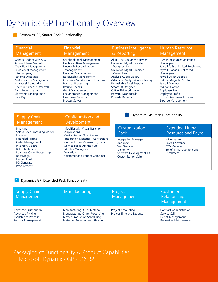# Dynamics GP Functionality Overview

**Dynamics GP, Starter Pack Functionality** 

| Financial                                                                                                                                                                                                                                                                                                                                         | Financial                                                                                                                                                                                                                                                                                                                                                                   | <b>Business Intelligence</b>                                                                                                                                                                                                                                                                                                                | <b>Human Resource</b>                                                                                                                                                                                                                                                                                                                                          |
|---------------------------------------------------------------------------------------------------------------------------------------------------------------------------------------------------------------------------------------------------------------------------------------------------------------------------------------------------|-----------------------------------------------------------------------------------------------------------------------------------------------------------------------------------------------------------------------------------------------------------------------------------------------------------------------------------------------------------------------------|---------------------------------------------------------------------------------------------------------------------------------------------------------------------------------------------------------------------------------------------------------------------------------------------------------------------------------------------|----------------------------------------------------------------------------------------------------------------------------------------------------------------------------------------------------------------------------------------------------------------------------------------------------------------------------------------------------------------|
| Management                                                                                                                                                                                                                                                                                                                                        | Management                                                                                                                                                                                                                                                                                                                                                                  | & Reporting                                                                                                                                                                                                                                                                                                                                 | Management                                                                                                                                                                                                                                                                                                                                                     |
| General Ledger with AFA<br><b>Account Level Security</b><br><b>Cash Flow Management</b><br><b>Fixed Asset Management</b><br>Intercompany<br><b>National Accounts</b><br><b>Multicurrency Management</b><br><b>Analytical Accounting</b><br>Revenue/Expense Deferrals<br><b>Bank Reconciliation</b><br><b>Electronic Banking Suite</b><br>Safe Pay | Cashbook Bank Management<br><b>Electronic Bank Management</b><br><b>Electronic Reconciliation</b><br>Management<br>Payables Management<br>Receivables Management<br><b>Customer/Vendor Consolidations</b><br>Lockbox Processing<br><b>Refund Checks</b><br><b>Grant Management</b><br><b>Encumbrance Management</b><br><b>Field Level Security</b><br><b>Process Server</b> | All In One Document Viewer<br><b>Unlimited Mgmt Reporter</b><br><b>Designer User</b><br><b>Unlimited Mgmt Reporter</b><br>Viewer User<br>Analysis Cubes Library<br><b>Advanced Analysis Cubes Library</b><br>Refreshable Excel Reports<br><b>SmartList Designer</b><br>Office 365 Workspace<br>PowerBI Dashboards<br><b>PowerBI Reports</b> | Human Resources Unlimited<br><b>Employees</b><br>Payroll (US) Unlimited Employees<br>Payroll (Canada) Unlimited<br><b>Employees</b><br><b>Payroll Direct Deposit</b><br>Federal Magnetic Media<br><b>Payroll Connect</b><br><b>Position Control</b><br><b>Employee Pay</b><br><b>Employee Profile</b><br>Human Resources Time and<br><b>Expense Management</b> |

| <b>Supply Chain</b>                                                                                                                                                                                                                                                           | Configuration and                                                                                                                                                                                                                                                                         |
|-------------------------------------------------------------------------------------------------------------------------------------------------------------------------------------------------------------------------------------------------------------------------------|-------------------------------------------------------------------------------------------------------------------------------------------------------------------------------------------------------------------------------------------------------------------------------------------|
| Management                                                                                                                                                                                                                                                                    | Development                                                                                                                                                                                                                                                                               |
| Invoicing<br>Sales Order Processing w/ Adv<br>Invoicing<br><b>Extended Pricing</b><br><b>Order Management</b><br><b>Inventory Control</b><br><b>Bill of Materials</b><br>Purchase Order Processing/<br>Receivings<br><b>Landed Cost</b><br><b>PO Generator</b><br>Procurement | Modifier with Visual Basic for<br>Applications<br><b>Customization Site License</b><br><b>Integration Manager - Conversions</b><br><b>Connector for Microsoft Dynamics</b><br>Service Based Architecture<br><b>Identify Management</b><br>Workflow<br><b>Customer and Vendot Combiner</b> |

**P** Dynamics GP, Pack Functionality

| Customization                                                                                                                | <b>Extended Human</b>                                                                        |
|------------------------------------------------------------------------------------------------------------------------------|----------------------------------------------------------------------------------------------|
| Pack                                                                                                                         | <b>Resource and Payroll</b>                                                                  |
| <b>Integration Manager</b><br>eConnect<br>WebServices<br>Dexterity<br>Software Development Kit<br><b>Customization Suite</b> | <b>HR Advance</b><br>Payroll Advance<br>PTO Manager<br>Benefits Management and<br>Enrollment |

#### Dynamics GP, Extended Pack Functionality  $\blacktriangledown$

| <b>Supply Chain</b><br>Management                                                                            | Manufacturing                                                                                                                               | Project<br>Management                                 | Customer<br>Relationship<br>Management                                                              |
|--------------------------------------------------------------------------------------------------------------|---------------------------------------------------------------------------------------------------------------------------------------------|-------------------------------------------------------|-----------------------------------------------------------------------------------------------------|
| <b>Advanced Distribution</b><br><b>Advanced Picking</b><br>Available to Promise<br><b>Returns Management</b> | Manufacturing Bill of Materials<br>Manufacturing Order Processing<br><b>Master Production Scheduling</b><br>Materials Requirements Planning | <b>Project Accounting</b><br>Project Time and Expense | <b>Contract Administration</b><br>Service Call<br>Depot Management<br><b>Preventive Maintenance</b> |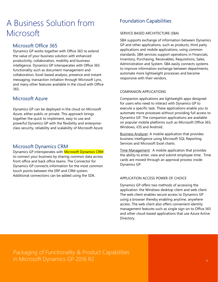# A Business Solution from Microsoft

### Microsoft Office 365

Dynamics GP works together with Office 365 to extend the value of your business solution with enhanced productivity, collaboration, mobility and business intelligence. Dynamics GP interoperates with Office 365 functionality such as document management and collaboration, Excel-based analysis, presence and instant messaging, transaction initiation through Microsoft Lync, and many other features available in the cloud with Office 365.

### Microsoft Azure

Dynamics GP can be deployed in the cloud on Microsoft Azure, either public or private. This approach brings together the quick to implement, easy to use and powerful Dynamics GP with the flexibility and enterpriseclass security, reliability and scalability of Microsoft Azure.

### Microsoft Dynamics CRM

Dynamics GP interoperates with Microsoft Dynamics CRM to connect your business by sharing common data across front office and back office teams. The Connector for Dynamics GP connects information for the most common touch points between the ERP and CRM system. Additional connections can be added using the SDK.

### Foundation Capabilities

#### SERVICE BASED ARCHITECTURE (SBA)

SBA supports exchange of information between Dynamics GP and other applications, such as products, third party applications and mobile applications, using common standards. SBA services support operations in Financials, Inventory, Purchasing, Receivables, Requisitions, Sales, Administration and System. SBA easily connects systems to improve information exchange between departments, automate more lightweight processes and become responsive with their vendors.

#### COMPANION APPLICATIONS

Companion applications are lightweight apps designed for users who need to interact with Dynamics GP to execute a specific task. These applications enable you to automate more processes without providing full access to Dynamics GP. The companion applications are available on popular mobile platforms such as Microsoft Office 365, Windows, iOS and Android.

Business Analyzer: A mobile application that provides business intelligence using Microsoft SQL Reporting Services and Microsoft Excel charts.

Time Management: A mobile application that provides the ability to enter, view and submit employee time. Time cards are moved through an approval process inside Dynamics GP.

#### APPLICATION ACCESS POWER OF CHOICE

Dynamics GP offers two methods of accessing the application: the Windows desktop client and web client. The web client enables secure access to Dynamics GP using a browser thereby enabling anytime, anywhere access. The web client also offers convenient identity management features such as single sign on to Office 365 and other cloud-based applications that use Azure Active Directory.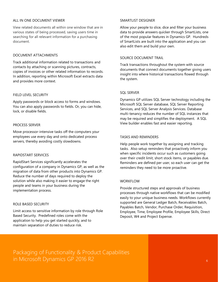#### ALL IN ONE DOCUMENT VIEWER

View related documents all within one window that are in various states of being processed, saving users time in searching for all relevant information for a purchasing document.

#### DOCUMENT ATTACHMENTS

Track additional information related to transactions and contacts by attaching or scanning pictures, contracts, copies of invoices or other related information to records. In addition, reporting within Microsoft Excel extracts data and provides more context.

#### FIELD LEVEL SECURITY

Apply passwords or block access to forms and windows. You can also apply passwords to fields. Or, you can hide, lock, or disable fields.

#### PROCESS SERVER

Move processor-intensive tasks off the computers your employees use every day and onto dedicated process servers, thereby avoiding costly slowdowns.

#### RAPIDSTART SERVICES

RapidStart Services significantly accelerates the configuration of a company in Dynamics GP, as well as the migration of data from other products into Dynamics GP. Reduce the number of days required to deploy the solution while also making it easier to engage the right people and teams in your business during the implementation process.

#### ROLE BASED SECURITY

Limit access to sensitive information by role through Role Based Security. Predefined roles come with the application to help you get started quickly, and to maintain separation of duties to reduce risk.

#### SMARTLIST DESIGNER

Allow your people to slice, dice and filter your business data to provide answers quicker through SmartLists, one of the most popular features in Dynamics GP. Hundreds of SmartLists are built into the application and you can also edit them and build your own.

#### SOURCE DOCUMENT TRAIL

Track transactions throughout the system with source documents that connect documents together giving users insight into where historical transactions flowed through the system.

#### SQL SERVER

Dynamics GP utilizes SQL Server technology including the Microsoft SQL Server database, SQL Server Reporting Services, and SQL Server Analysis Services. Database multi-tenancy reduces the number of SQL instances that may be required and simplifies the deployment. A SQL View builder enables fast and easier reporting.

#### TASKS AND REMINDERS

Help people work together by assigning and tracking tasks. Also setup reminders that proactively inform you when specific incidents occur such as customers going over their credit limit, short stock items, or payables due. Reminders are defined per user, so each user can get the reminders they need to be more proactive.

#### **WORKFLOW**

Provide structured steps and approvals of business processes through native workflows that can be modified easily to your unique business needs. Workflows currently supported are General Ledger Batch, Receivables Batch, Payables Batch, Vendor, Purchase Order, Requisition, Employee, Time, Employee Profile, Employee Skills, Direct Deposit, W4 and Project Expense.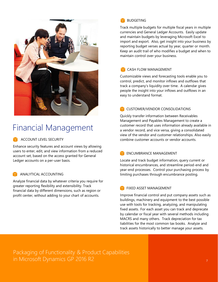

# Financial Management

ACCOUNT LEVEL SECURITY

Enhance security features and account views by allowing users to enter, edit, and view information from a reduced account set, based on the access granted for General Ledger accounts on a per-user basis.

#### ANALYTICAL ACCOUNTING

Analyze financial data by whatever criteria you require for greater reporting flexibility and extensibility. Track financial data by different dimensions, such as region or profit center, without adding to your chart of accounts.



Track multiple budgets for multiple fiscal years in multiple currencies and General Ledger Accounts. Easily update and maintain budgets by leveraging Microsoft Excel to import and export. Also, get insight into your business by reporting budget verses actual by year, quarter or month. Keep an audit trail of who modifies a budget and when to maintain control over your business.

#### CASH FLOW MANAGEMENT

Customizable views and forecasting tools enable you to control, predict, and monitor inflows and outflows that track a company's liquidity over time. A calendar gives people the insight into your inflows and outflows in an easy to understand format.

#### **CUSTOMER/VENDOR CONSOLIDATIONS**

Quickly transfer information between Receivables Management and Payables Management to create a customer record that uses information already available in a vendor record, and vice versa, giving a consolidated view of the vendor and customer relationships. Also easily combine customer accounts or vendor accounts.

#### ENCUMBRANCE MANAGEMENT

Locate and track budget information, query current or historical encumbrances, and streamline period-end and year-end processes. Control your purchasing process by limiting purchases through encumbrance posting.

#### **TERRIT MANAGEMENT**

Improve financial control and put company assets such as buildings, machinery and equipment to the best possible use with tools for tracking, analyzing, and manipulating fixed assets. For each asset you can track and deprecate by calendar or fiscal year with several methods including MACRS and many others. Track depreciation for tax liabilities for the most common tax books. Analyze and track assets historically to better manage your assets.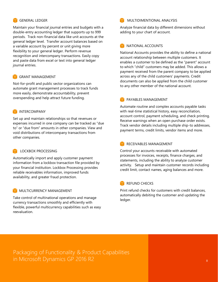#### GENERAL LEDGER

Maintain your financial journal entries and budgets with a double-entry accounting ledger that supports up to 999 periods. Track non-financial data like unit accounts at the general ledger level. Transfer account balances based on a variable account by percent or unit giving more flexibility to your general ledger. Perform revenue recognition and intercompany transactions. Easily copy and paste data from excel or text into general ledger journal entries.

#### **TE GRANT MANAGEMENT**

Not-for-profit and public sector organizations can automate grant management processes to track funds more easily, demonstrate accountability, prevent overspending and help attract future funding.

#### **INTERCOMPANY**

Set up and maintain relationships so that revenues or expenses incurred in one company can be tracked as "due to" or "due from" amounts in other companies. View and void distributions of intercompany transactions from other companies.

#### LOCKBOX PROCESSING

Automatically import and apply customer payment information from a lockbox transaction file provided by your financial institution. Lockbox Processing provides reliable receivables information, improved funds availability, and greater fraud protection.

#### MULTICURRENCY MANAGEMENT

Take control of multinational operations and manage currency transactions smoothly and efficiently with flexible, powerful multicurrency capabilities such as easy reevaluation.

#### MULTIDIMENTIONAL ANALYSIS

Analyze financial data by different dimensions without adding to your chart of account.

#### **NATIONAL ACCOUNTS**

National Accounts provides the ability to define a national account relationship between multiple customers. It enables a customer to be defined as the "parent" account to which "child" customers may be added. This allows a payment received from the parent company to be applied across any of the child customers' payments. Credit documents can also be applied from the child customer to any other member of the national account.

#### **PAYABLES MANAGEMENT**

Automate routine and complex accounts payable tasks with real-time statistical history, easy reconciliation, account control, payment scheduling, and check printing. Receive warnings when an open purchase order exists. Track vendor details including multiple ship-to addresses, payment terms, credit limits, vendor items and more.

#### RECEIVABLES MANAGEMENT

Control your accounts receivable with automated processes for invoices, receipts, finance charges, and statements, including the ability to analyze customer activity. Setup and maintain customer records including credit limit, contact names, aging balances and more.

#### **REFUND CHECKS**

Print refund checks for customers with credit balances, automatically debiting the customer and updating the ledger.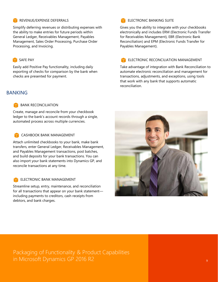#### REVENUE/EXPENSE DEFERRALS

Simplify deferring revenues or distributing expenses with the ability to make entries for future periods within General Ledger, Receivables Management, Payables Management, Sales Order Processing, Purchase Order Processing, and Invoicing.

#### SAFE PAY

Easily add Positive Pay functionality, including daily exporting of checks for comparison by the bank when checks are presented for payment.

#### BANKING

#### BANK RECONCILIATION

Create, manage and reconcile from your checkbook ledger to the bank's account records through a single, automated process across multiple currencies.

#### CASHBOOK BANK MANAGEMENT

Attach unlimited checkbooks to your bank, make bank transfers, enter General Ledger, Receivables Management, and Payables Management transactions, post batches, and build deposits for your bank transactions. You can also import your bank statements into Dynamics GP, and reconcile transactions at any time.

#### ELECTRONIC BANK MANAGEMENT

Streamline setup, entry, maintenance, and reconciliation for all transactions that appear on your bank statement including payments to creditors, cash receipts from debtors, and bank charges.

#### ELECTRONIC BANKING SUITE

Gives you the ability to integrate with your checkbooks electronically and includes ERM (Electronic Funds Transfer for Receivables Management), EBR (Electronic Bank Reconciliation) and EPM (Electronic Funds Transfer for Payables Management).

#### ELECTRONIC RECONCILIATION MANAGEMENT

Take advantage of integration with Bank Reconciliation to automate electronic reconciliation and management for transactions, adjustments, and exceptions, using tools that work with any bank that supports automatic reconciliation.



Packaging of Functionality & Product Capabilities in Microsoft Dynamics GP 2016 R2 9 Patter and the Contract of Contract of Contract of Contract of Contract of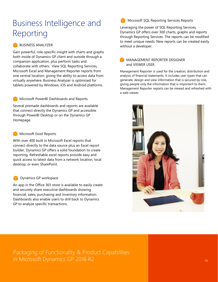# Business Intelligence and Reporting

#### **BUSINESS ANALYZER**

Gain powerful, role-specific insight with charts and graphs both inside of Dynamics GP client and outside through a companion application, plus perform tasks and collaborate with others. View SQL Reporting Services, Microsoft Excel and Management Reporter reports from one central location, giving the ability to access data from virtually anywhere. Business Analyzer is optimized for tablets powered by Windows, iOS and Android platforms.

#### Microsoft PowerBI Dashboards and Reports

Several premade dashboards and reports are available that connect directly the Dynamics GP and accessible through PowerBI Desktop or on the Dynamics GP Homepage.

#### Microsoft Excel Reports

With over 400 built in Microsoft Excel reports that connect directly to the data source plus an Excel report builder, Dynamics GP offers a solid foundation to create reporting. Refreshable excel reports provide easy and quick access to latest data from a network location, local desktop, or even SharePoint.

#### Dynamics GP workspace

An app in the Office 365 store is available to easily create and securely share executive dashboards showing financial, sales, purchasing and inventory information. Dashboards also enable users to drill back to Dynamics GP to analyze specific transactions.

Microsoft SQL Reporting Services Reports

Leveraging the power of SQL Reporting Services, Dynamics GP offers over 300 charts, graphs and reports through Reporting Services. The reports can be modified to meet unique needs. New reports can be created easily without a developer.

#### MANAGEMENT REPORTER DESIGNER and VIEWER USER

Management Reporter is used for the creation, distribution and analysis of financial statements. It includes user types that can generate, design and view information that is secured by role, giving people only the information that is important to them. Management Reporter reports can be viewed and refreshed with a web viewer.

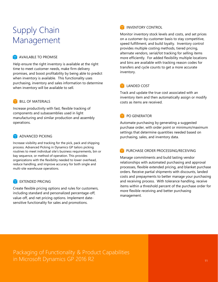# Supply Chain Management

#### **T** AVAILABLE TO PROMISE

Help ensure the right inventory is available at the right time to meet customer needs, make firm delivery promises, and boost profitability by being able to predict when inventory is available. This functionality uses purchasing, inventory and sales information to determine when inventory will be available to sell.

#### BILL OF MATERIALS

Increase productivity with fast, flexible tracking of components and subassemblies used in light manufacturing and similar production and assembly operations.

#### ADVANCED PICKING

Increase visibility and tracking for the pick, pack and shipping process. Advanced Picking in Dynamics GP tailors picking routines to meet individual site's business requirements, bin or bay sequence, or method of operation. This provides organizations with the flexibility needed to lower overhead, reduce handling, and improve accuracy for both single and multi-site warehouse operations.

#### **EXTENDED PRICING**

Create flexible pricing options and rules for customers, including standard and personalized percentage-off, value-off, and net pricing options. Implement datesensitive functionality for sales and promotions.

#### **INVENTORY CONTROL**

Monitor inventory stock levels and costs, and set prices on a customer-by-customer basis to stay competitive, speed fulfillment, and build loyalty. Inventory control provides multiple costing methods, tiered pricing, alternate vendors, serial/lot tracking for selling items more efficiently. For added flexibility multiple locations and bins are available with tracking reason codes for transfers and cycle counts to get a more accurate inventory.

#### **LANDED COST**

Track and update the true cost associated with an inventory item and then automatically assign or modify costs as items are received.

#### PO GENERATOR

Automate purchasing by generating a suggested purchase order, with order point or minimum/maximum settings that determine quantities needed based on purchasing, sales, and inventory data.

#### PURCHASE ORDER PROCESSING/RECEIVING

Manage commitments and build lasting vendor relationships with automated purchasing and approval processes, flexible extended pricing, and blanket purchase orders. Receive partial shipments with discounts, landed costs and prepayments to better manage your purchasing and receiving process. With tolerance handling, receive items within a threshold percent of the purchase order for more flexible receiving and better purchasing management.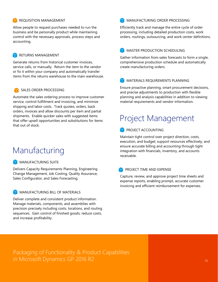#### REQUISITION MANAGEMENT

Allow people to request purchases needed to run the business and be personally product while maintaining control with the necessary approvals, process steps and accounting.

#### **RETURNS MANAGEMENT**

Generate returns from historical customer invoices, service calls, or manually. Return the item to the vendor or fix it within your company and automatically transfer items from the returns warehouse to the main warehouse.

#### SALES ORDER PROCESSING

Automate the sales ordering process to improve customer service, control fulfillment and invoicing, and minimize shipping and labor costs. Track quotes, orders, back orders, invoices and allow discounts per item and partial shipments. Enable quicker sales with suggested items that offer upsell opportunities and substitutions for items that out of stock.

### Manufacturing

#### **MANUFACTURING SUITE**

Delivers Capacity Requirements Planning, Engineering Change Management, Job Costing, Quality Assurance, Sales Configurator, and Sales Forecasting.

#### MANUFACTURING BILL OF MATERIALS

Deliver complete and consistent product information. Manage materials, components, and assemblies with precision precisely including costs, locations, and routing sequences. Gain control of finished goods, reduce costs, and increase profitability.

#### **MANUFACTURING ORDER PROCESSING**

Efficiently track and manage the entire cycle of order processing, including detailed production costs, work orders, routings, outsourcing, and work center definitions.

#### MASTER PRODUCTION SCHEDULING

Gather information from sales forecasts to form a single, comprehensive production schedule and automatically create manufacturing orders.

#### MATERIALS REQUIREMENTS PLANNING

Ensure proactive planning, smart procurement decisions, and precise adjustments to production with flexible planning and analysis capabilities in addition to viewing material requirements and vendor information.

## Project Management

#### PROJECT ACCOUNTING

Maintain tight control over project direction, costs, execution, and budget; support resources effectively; and ensure accurate billing and accounting through tight integration with financials, inventory, and accounts receivable.

#### PROJECT TIME AND EXPENSE

Capture, review, and approve project time sheets and expense reports, enabling prompt, accurate customer invoicing and efficient reimbursement for expenses.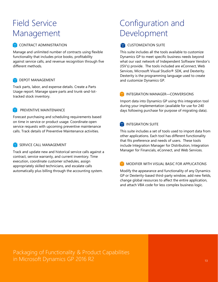# Field Service Management

#### CONTRACT ADMINISTRATION

Manage and unlimited number of contracts using flexible functionality that includes price books, profitability against service calls, and revenue recognition through five different methods.

#### **DEPOT MANAGEMENT**

Track parts, labor, and expense details. Create a Parts Usage report. Manage spare parts and trunk-and-lottracked stock inventory.

#### PREVENTIVE MAINTENANCE

Forecast purchasing and scheduling requirements based on time in service or product usage. Coordinate open service requests with upcoming preventive maintenance calls. Track details of Preventive Maintenance activities.

#### SERVICE CALL MANAGEMENT

Track and update new and historical service calls against a contract, service warranty, and current inventory. Time execution, coordinate customer schedules, assign appropriately skilled technicians, and escalate calls automatically plus billing through the accounting system.

# Configuration and Development

#### **CUSTOMIZATION SUITE**

This suite includes all the tools available to customize Dynamics GP to meet specific business needs beyond what our vast network of Independent Software Vendor's (ISV's) provide. The tools included are eConnect, Web Services, Microsoft Visual Studio® SDK, and Dexterity. Dexterity is the programming language used to create and customize Dynamics GP.

#### INTEGRATION MANAGER—CONVERSIONS

Import data into Dynamics GP using this integration tool during your implementation (available for use for 240 days following purchase for purpose of migrating data).

#### **INTEGRATION SUITE**

This suite includes a set of tools used to import data from other applications. Each tool has different functionality that fits preference and needs of users. These tools include Integration Manager for Distribution, Integration Manager for Financials, eConnect, and Web Services.

#### MODIFIER WITH VISUAL BASIC FOR APPLICATIONS

Modify the appearance and functionality of any Dynamics GP or Dexterity-based third-party window, add new fields, change global resources to affect the entire application, and attach VBA code for less complex business logic.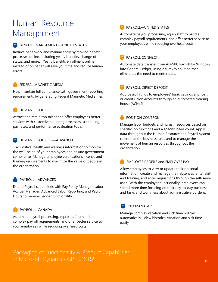# Human Resource Management

#### **BENEFITS MANGEMENT — UNITED STATES**

Reduce paperwork and manual entry by moving benefit processes online, including yearly benefits, change of status, and more. Yearly benefits enrollment online instead of on paper will save you time and reduce human errors.

#### FEDERAL MAGNETIC MEDIA

Help maintain full compliance with government reporting requirements by generating Federal Magnetic Media files.

#### **HUMAN RESOURCES**

Attract and retain top talent and offer employees better services with customizable hiring processes, scheduling, pay rates, and performance evaluation tools.

#### **HUMAN RESOURCES-ADVANCED**

Track critical health and wellness information to monitor the well-being of your employees and ensure government compliance. Manage employee certifications, license and training requirements to maximize the value of people in the organization.

#### PAYROLL—ADVANCED

Extend Payroll capabilities with Pay Policy Manager, Labor Accrual Manager, Advanced Labor Reporting, and Payroll Hours to General Ledger functionality.

#### PAYROLL—CANADA

Automate payroll processing, equip staff to handle complex payroll requirements, and offer better service to your employees while reducing overhead costs.

#### PAYROLL—UNITED STATES

Automate payroll processing, equip staff to handle complex payroll requirements, and offer better service to your employees while reducing overhead costs.

#### PAYROLL CONNECT

Automate data transfer from ADP/PC Payroll for Windows into General Ledger, using a turnkey solution that eliminates the need to reenter data.

#### PAYROLL DIRECT DEPOSIT

Add payroll funds to employees' bank, savings and loan, or credit union accounts through an automated clearing house (ACH) file.

### POSITION CONTROL

Manage labor budgets and human resources based on specific job functions and a specific head count. Apply data throughout the Human Resource and Payroll system to enforce the business rules and to manage the movement of human resources throughout the organization.

#### **EMPLOYEE PROFILE and EMPLOYEE PAY**

Allow employees to view or update their personal information, create and manage their absences, enter skill and training, and enter requisitions through the self-serve user. With the employee functionality, employees can spend more time focusing on their day-to-day business and tasks and worry less about administrative burdens.

#### PTO MANAGER

Manage complex vacation and sick time policies automatically. View historical vacation and sick time easily.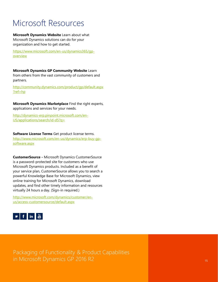# Microsoft Resources

#### **Microsoft Dynamics Website** Learn about what Microsoft Dynamics solutions can do for your organization and how to get started.

[https://www.microsoft.com/en-us/dynamics365/gp](https://www.microsoft.com/en-us/dynamics365/gp-overview)[overview](https://www.microsoft.com/en-us/dynamics365/gp-overview)

**Microsoft Dynamics GP Community Website** Learn from others from the vast community of customers and partners.

[http://community.dynamics.com/product/gp/default.aspx](http://community.dynamics.com/product/gp/default.aspx?ref=hp) [?ref=hp](http://community.dynamics.com/product/gp/default.aspx?ref=hp)

**Microsoft Dynamics Marketplace** Find the right experts, applications and services for your needs.

[http://dynamics-erp.pinpoint.microsoft.com/en-](http://dynamics-erp.pinpoint.microsoft.com/en-US/applications/search/id-d5?q=)[US/applications/search/id-d5?q=](http://dynamics-erp.pinpoint.microsoft.com/en-US/applications/search/id-d5?q=)

**Software License Terms** Get product license terms. [http://www.microsoft.com/en-us/dynamics/erp-buy-gp](http://www.microsoft.com/en-us/dynamics/erp-buy-gp-software.aspx)[software.aspx](http://www.microsoft.com/en-us/dynamics/erp-buy-gp-software.aspx)

**CustomerSource -** Microsoft Dynamics CustomerSource is a password-protected site for customers who use Microsoft Dynamics products. Included as a benefit of your service plan, CustomerSource allows you to search a powerful Knowledge Base for Microsoft Dynamics, view online training for Microsoft Dynamics, download updates, and find other timely information and resources virtually 24 hours a day. (Sign-in required.)

[http://www.microsoft.com/dynamics/customer/en](http://www.microsoft.com/dynamics/customer/en-us/access-customersource/default.aspx)[us/access-customersource/default.aspx](http://www.microsoft.com/dynamics/customer/en-us/access-customersource/default.aspx)